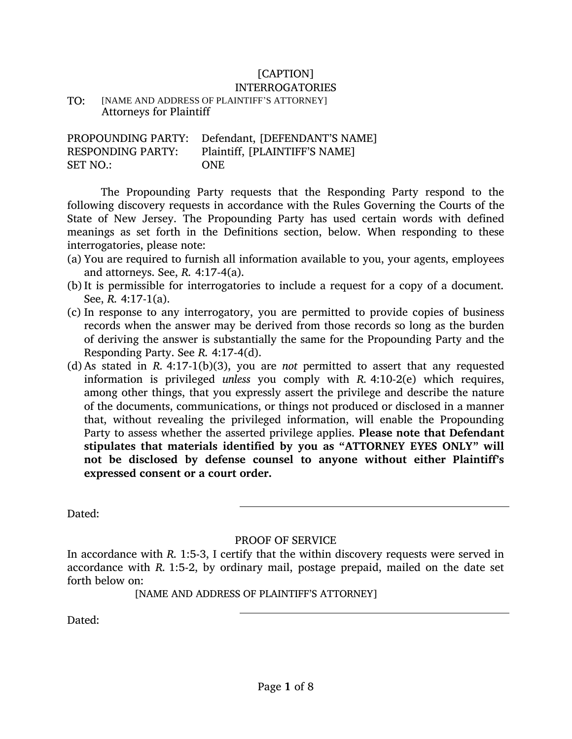# [CAPTION]

## INTERROGATORIES

TO: [NAME AND ADDRESS OF PLAINTIFF'S ATTORNEY] Attorneys for Plaintiff

PROPOUNDING PARTY: Defendant, [DEFENDANT'S NAME] RESPONDING PARTY: Plaintiff, [PLAINTIFF'S NAME] SET NO.: ONE

The Propounding Party requests that the Responding Party respond to the following discovery requests in accordance with the Rules Governing the Courts of the State of New Jersey. The Propounding Party has used certain words with defined meanings as set forth in the Definitions section, below. When responding to these interrogatories, please note:

- (a) You are required to furnish all information available to you, your agents, employees and attorneys. See, *R.* 4:17-4(a).
- (b)It is permissible for interrogatories to include a request for a copy of a document. See, *R.* 4:17-1(a).
- (c) In response to any interrogatory, you are permitted to provide copies of business records when the answer may be derived from those records so long as the burden of deriving the answer is substantially the same for the Propounding Party and the Responding Party. See *R.* 4:17-4(d).
- (d) As stated in *R.* 4:17-1(b)(3), you are *not* permitted to assert that any requested information is privileged *unless* you comply with *R.* 4:10-2(e) which requires, among other things, that you expressly assert the privilege and describe the nature of the documents, communications, or things not produced or disclosed in a manner that, without revealing the privileged information, will enable the Propounding Party to assess whether the asserted privilege applies. **Please note that Defendant stipulates that materials identified by you as "ATTORNEY EYES ONLY" will not be disclosed by defense counsel to anyone without either Plaintiff's expressed consent or a court order.**

Dated:

## PROOF OF SERVICE

In accordance with *R.* 1:5-3, I certify that the within discovery requests were served in accordance with *R.* 1:5-2, by ordinary mail, postage prepaid, mailed on the date set forth below on:

[NAME AND ADDRESS OF PLAINTIFF'S ATTORNEY]

Dated: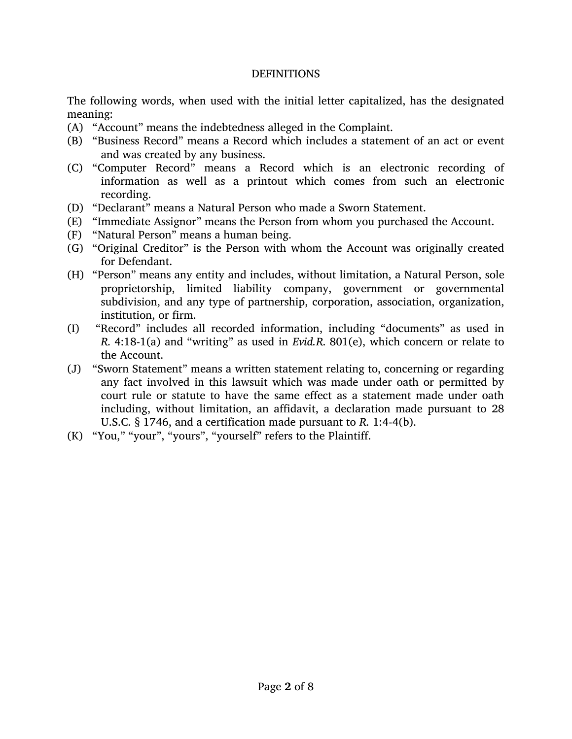#### **DEFINITIONS**

The following words, when used with the initial letter capitalized, has the designated meaning:

- (A) "Account" means the indebtedness alleged in the Complaint.
- (B) "Business Record" means a Record which includes a statement of an act or event and was created by any business.
- (C) "Computer Record" means a Record which is an electronic recording of information as well as a printout which comes from such an electronic recording.
- (D) "Declarant" means a Natural Person who made a Sworn Statement.
- (E) "Immediate Assignor" means the Person from whom you purchased the Account.
- (F) "Natural Person" means a human being.
- (G) "Original Creditor" is the Person with whom the Account was originally created for Defendant.
- (H) "Person" means any entity and includes, without limitation, a Natural Person, sole proprietorship, limited liability company, government or governmental subdivision, and any type of partnership, corporation, association, organization, institution, or firm.
- (I) "Record" includes all recorded information, including "documents" as used in *R.* 4:18-1(a) and "writing" as used in *Evid.R.* 801(e), which concern or relate to the Account.
- (J) "Sworn Statement" means a written statement relating to, concerning or regarding any fact involved in this lawsuit which was made under oath or permitted by court rule or statute to have the same effect as a statement made under oath including, without limitation, an affidavit, a declaration made pursuant to 28 U.S.C. § 1746, and a certification made pursuant to *R.* 1:4-4(b).
- (K) "You," "your", "yours", "yourself" refers to the Plaintiff.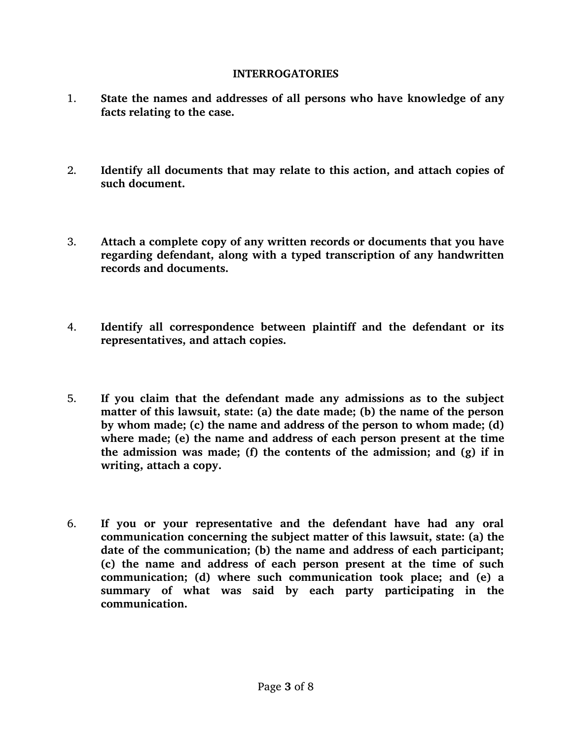### **INTERROGATORIES**

- 1. **State the names and addresses of all persons who have knowledge of any facts relating to the case.**
- 2. **Identify all documents that may relate to this action, and attach copies of such document.**
- 3. **Attach a complete copy of any written records or documents that you have regarding defendant, along with a typed transcription of any handwritten records and documents.**
- 4. **Identify all correspondence between plaintiff and the defendant or its representatives, and attach copies.**
- 5. **If you claim that the defendant made any admissions as to the subject matter of this lawsuit, state: (a) the date made; (b) the name of the person by whom made; (c) the name and address of the person to whom made; (d) where made; (e) the name and address of each person present at the time the admission was made; (f) the contents of the admission; and (g) if in writing, attach a copy.**
- 6. **If you or your representative and the defendant have had any oral communication concerning the subject matter of this lawsuit, state: (a) the date of the communication; (b) the name and address of each participant; (c) the name and address of each person present at the time of such communication; (d) where such communication took place; and (e) a summary of what was said by each party participating in the communication.**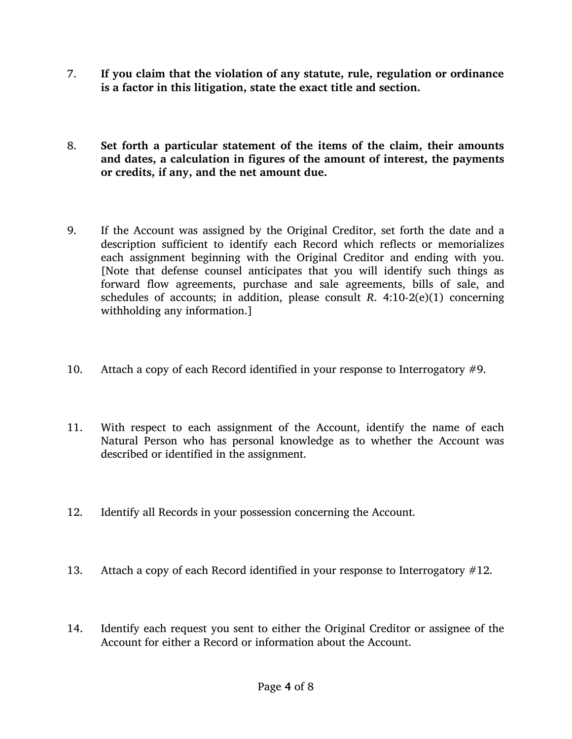- 7. **If you claim that the violation of any statute, rule, regulation or ordinance is a factor in this litigation, state the exact title and section.**
- 8. **Set forth a particular statement of the items of the claim, their amounts and dates, a calculation in figures of the amount of interest, the payments or credits, if any, and the net amount due.**
- <span id="page-3-0"></span>9. If the Account was assigned by the Original Creditor, set forth the date and a description sufficient to identify each Record which reflects or memorializes each assignment beginning with the Original Creditor and ending with you. [Note that defense counsel anticipates that you will identify such things as forward flow agreements, purchase and sale agreements, bills of sale, and schedules of accounts; in addition, please consult *R*. 4:10-2(e)(1) concerning withholding any information.]
- 10. Attach a copy of each Record identified in your response to Interrogatory [#9.](#page-3-0)
- 11. With respect to each assignment of the Account, identify the name of each Natural Person who has personal knowledge as to whether the Account was described or identified in the assignment.
- <span id="page-3-1"></span>12. Identify all Records in your possession concerning the Account.
- 13. Attach a copy of each Record identified in your response to Interrogatory [#12.](#page-3-1)
- <span id="page-3-2"></span>14. Identify each request you sent to either the Original Creditor or assignee of the Account for either a Record or information about the Account.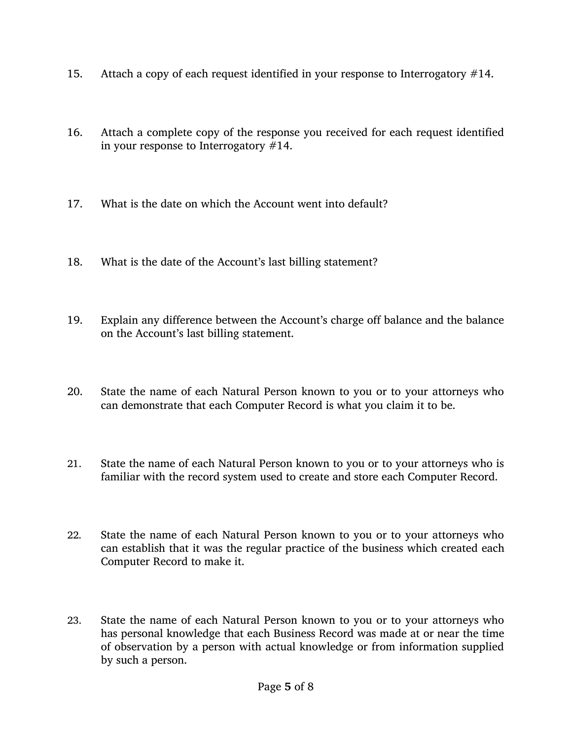- 15. Attach a copy of each request identified in your response to Interrogatory [#14.](#page-3-2)
- 16. Attach a complete copy of the response you received for each request identified in your response to Interrogatory [#14.](#page-3-2)
- 17. What is the date on which the Account went into default?
- 18. What is the date of the Account's last billing statement?
- 19. Explain any difference between the Account's charge off balance and the balance on the Account's last billing statement.
- 20. State the name of each Natural Person known to you or to your attorneys who can demonstrate that each Computer Record is what you claim it to be.
- 21. State the name of each Natural Person known to you or to your attorneys who is familiar with the record system used to create and store each Computer Record.
- 22. State the name of each Natural Person known to you or to your attorneys who can establish that it was the regular practice of the business which created each Computer Record to make it.
- 23. State the name of each Natural Person known to you or to your attorneys who has personal knowledge that each Business Record was made at or near the time of observation by a person with actual knowledge or from information supplied by such a person.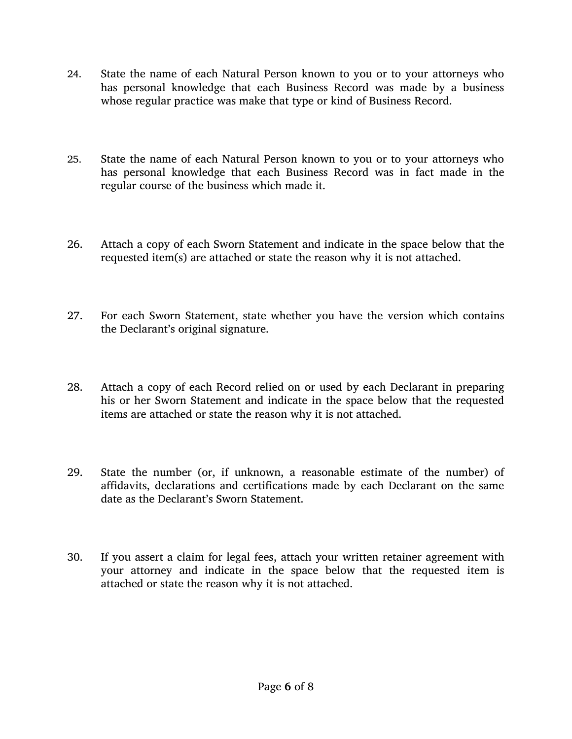- 24. State the name of each Natural Person known to you or to your attorneys who has personal knowledge that each Business Record was made by a business whose regular practice was make that type or kind of Business Record.
- 25. State the name of each Natural Person known to you or to your attorneys who has personal knowledge that each Business Record was in fact made in the regular course of the business which made it.
- 26. Attach a copy of each Sworn Statement and indicate in the space below that the requested item(s) are attached or state the reason why it is not attached.
- 27. For each Sworn Statement, state whether you have the version which contains the Declarant's original signature.
- 28. Attach a copy of each Record relied on or used by each Declarant in preparing his or her Sworn Statement and indicate in the space below that the requested items are attached or state the reason why it is not attached.
- 29. State the number (or, if unknown, a reasonable estimate of the number) of affidavits, declarations and certifications made by each Declarant on the same date as the Declarant's Sworn Statement.
- 30. If you assert a claim for legal fees, attach your written retainer agreement with your attorney and indicate in the space below that the requested item is attached or state the reason why it is not attached.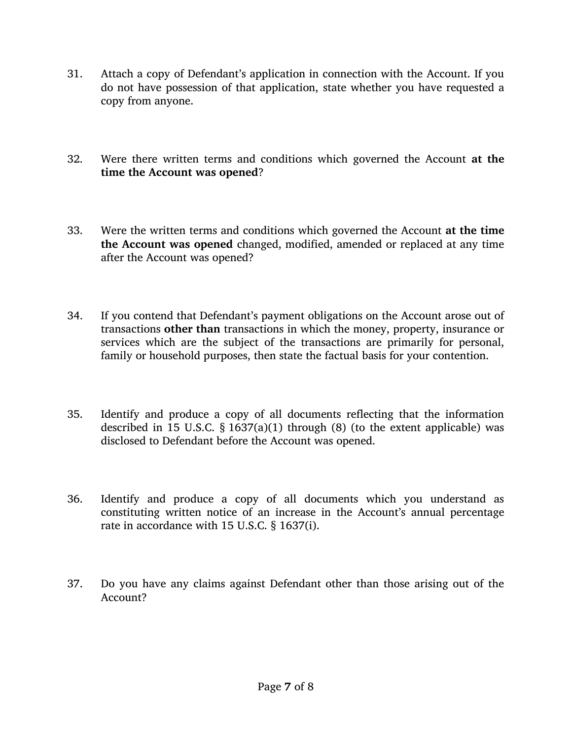- 31. Attach a copy of Defendant's application in connection with the Account. If you do not have possession of that application, state whether you have requested a copy from anyone.
- 32. Were there written terms and conditions which governed the Account **at the time the Account was opened**?
- 33. Were the written terms and conditions which governed the Account **at the time the Account was opened** changed, modified, amended or replaced at any time after the Account was opened?
- 34. If you contend that Defendant's payment obligations on the Account arose out of transactions **other than** transactions in which the money, property, insurance or services which are the subject of the transactions are primarily for personal, family or household purposes, then state the factual basis for your contention.
- 35. Identify and produce a copy of all documents reflecting that the information described in 15 U.S.C.  $\S$  1637(a)(1) through (8) (to the extent applicable) was disclosed to Defendant before the Account was opened.
- 36. Identify and produce a copy of all documents which you understand as constituting written notice of an increase in the Account's annual percentage rate in accordance with 15 U.S.C. § 1637(i).
- 37. Do you have any claims against Defendant other than those arising out of the Account?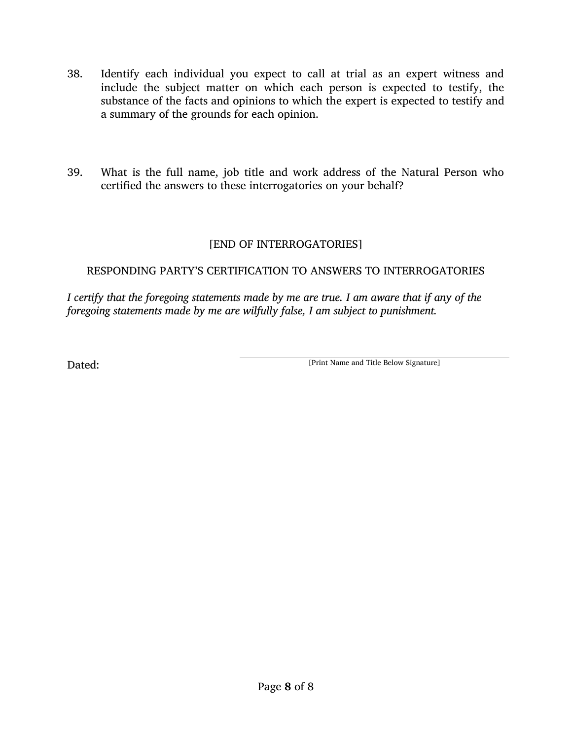- 38. Identify each individual you expect to call at trial as an expert witness and include the subject matter on which each person is expected to testify, the substance of the facts and opinions to which the expert is expected to testify and a summary of the grounds for each opinion.
- 39. What is the full name, job title and work address of the Natural Person who certified the answers to these interrogatories on your behalf?

## [END OF INTERROGATORIES]

## RESPONDING PARTY'S CERTIFICATION TO ANSWERS TO INTERROGATORIES

*I certify that the foregoing statements made by me are true. I am aware that if any of the foregoing statements made by me are wilfully false, I am subject to punishment.*

Dated: [Print Name and Title Below Signature]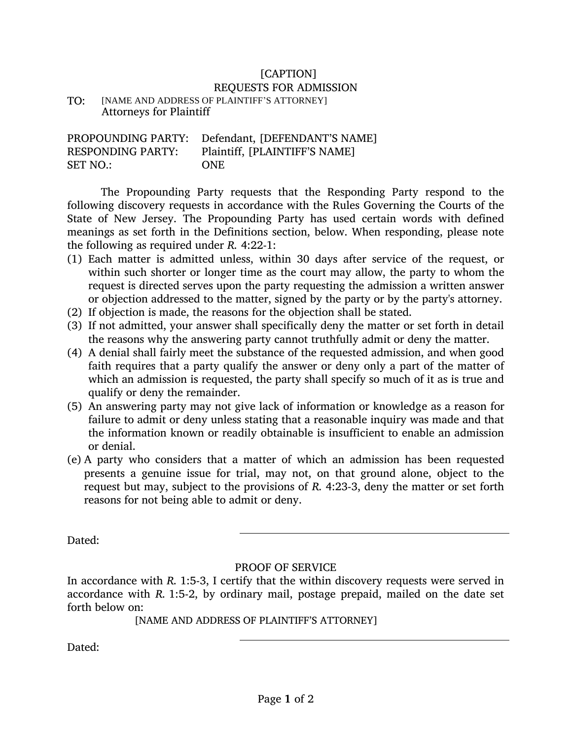## [CAPTION]

#### REQUESTS FOR ADMISSION

TO: [NAME AND ADDRESS OF PLAINTIFF'S ATTORNEY] Attorneys for Plaintiff

|                          | PROPOUNDING PARTY: Defendant, [DEFENDANT'S NAME] |
|--------------------------|--------------------------------------------------|
| <b>RESPONDING PARTY:</b> | Plaintiff, [PLAINTIFF'S NAME]                    |
| <b>SET NO.:</b>          | <b>ONE</b>                                       |

The Propounding Party requests that the Responding Party respond to the following discovery requests in accordance with the Rules Governing the Courts of the State of New Jersey. The Propounding Party has used certain words with defined meanings as set forth in the Definitions section, below. When responding, please note the following as required under *R.* 4:22-1:

- (1) Each matter is admitted unless, within 30 days after service of the request, or within such shorter or longer time as the court may allow, the party to whom the request is directed serves upon the party requesting the admission a written answer or objection addressed to the matter, signed by the party or by the party's attorney.
- (2) If objection is made, the reasons for the objection shall be stated.
- (3) If not admitted, your answer shall specifically deny the matter or set forth in detail the reasons why the answering party cannot truthfully admit or deny the matter.
- (4) A denial shall fairly meet the substance of the requested admission, and when good faith requires that a party qualify the answer or deny only a part of the matter of which an admission is requested, the party shall specify so much of it as is true and qualify or deny the remainder.
- (5) An answering party may not give lack of information or knowledge as a reason for failure to admit or deny unless stating that a reasonable inquiry was made and that the information known or readily obtainable is insufficient to enable an admission or denial.
- (e) A party who considers that a matter of which an admission has been requested presents a genuine issue for trial, may not, on that ground alone, object to the request but may, subject to the provisions of *R.* 4:23-3, deny the matter or set forth reasons for not being able to admit or deny.

Dated:

### PROOF OF SERVICE

In accordance with *R.* 1:5-3, I certify that the within discovery requests were served in accordance with *R.* 1:5-2, by ordinary mail, postage prepaid, mailed on the date set forth below on:

[NAME AND ADDRESS OF PLAINTIFF'S ATTORNEY]

Dated: